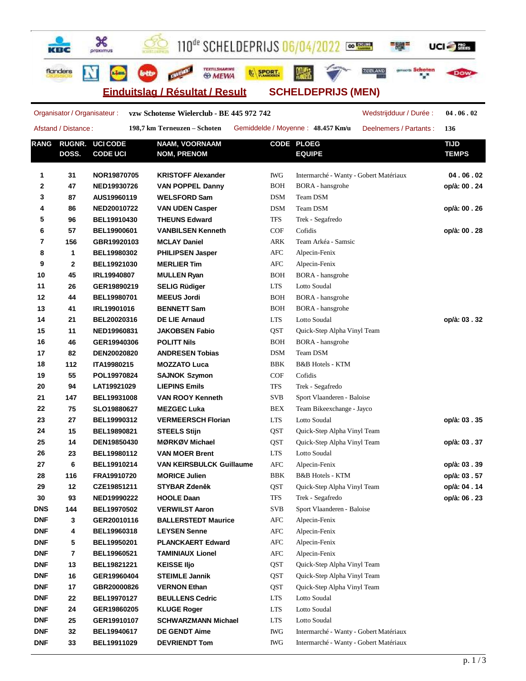110<sup>de</sup> SCHELDEPRIJS 06/04/2022

**WARDERT** 

UCI-T

三腿

**2EELAND** 

**Einduitslag / Résultat / Result SCHELDEPRIJS (MEN)**

TEXTILSHARIM

**& MEWA** 

Ж

proximus

**Adam** 

квс

flanders

**RANG RUGNR. DOSS. UCI CODE CODE UCI NAAM, VOORNAAM NOM, PRENOM CODE PLOEG EQUIPE TIJD TEMPS 1 31 NOR19870705 KRISTOFF Alexander** IWG Intermarché - Wanty - Gobert Matériaux **04 . 06 . 02 2 47 NED19930726 VAN POPPEL Danny** BOH BORA - hansgrohe **op/à: 00 . 24 3 87 AUS19960119 WELSFORD Sam** DSM Team DSM **4 86 NED20010722 VAN UDEN Casper** DSM Team DSM **op/à: 00 . 26 5 96 BEL19910430 THEUNS Edward** TFS Trek - Segafredo **6 57 BEL19900601 VANBILSEN Kenneth** COF Cofidis **op/à: 00 . 28 7 156 GBR19920103 MCLAY Daniel** ARK Team Arkéa - Samsic **8 1 BEL19980302 PHILIPSEN Jasper** AFC Alpecin-Fenix **9 2 BEL19921030 MERLIER Tim** AFC Alpecin-Fenix **10 45 IRL19940807 MULLEN Ryan** BOH BORA - hansgrohe **11 26 GER19890219 SELIG Rüdiger** LTS Lotto Soudal **12 44 BEL19980701 MEEUS Jordi** BOH BORA - hansgrohe **13 41 IRL19901016 BENNETT Sam** BOH BORA - hansgrohe **14 21 BEL20020316 DE LIE Arnaud** LTS Lotto Soudal **op/à: 03 . 32 15 11 NED19960831 JAKOBSEN Fabio** QST Quick-Step Alpha Vinyl Team **16 46 GER19940306 POLITT Nils** BOH BORA - hansgrohe **17 82 DEN20020820 ANDRESEN Tobias** DSM Team DSM **18 112 ITA19980215 MOZZATO Luca** BBK B&B Hotels - KTM **19 55 POL19970824 SAJNOK Szymon** COF Cofidis **20 94 LAT19921029 LIEPINS Emils** TFS Trek - Segafredo **21 147 BEL19931008 VAN ROOY Kenneth** SVB Sport Vlaanderen - Baloise **22 75 SLO19880627 MEZGEC Luka** BEX Team Bikeexchange - Jayco **23 27 BEL19990312 VERMEERSCH Florian** LTS Lotto Soudal **op/à: 03 . 35 24 15 BEL19890821 STEELS Stijn** QST Quick-Step Alpha Vinyl Team **25 14 DEN19850430 MØRKØV Michael** QST Quick-Step Alpha Vinyl Team **op/à: 03 . 37 26 23 BEL19980112 VAN MOER Brent** LTS Lotto Soudal **27 6 BEL19910214 VAN KEIRSBULCK Guillaume** AFC Alpecin-Fenix **op/à: 03 . 39 28 116 FRA19910720 MORICE Julien** BBK B&B Hotels - KTM **op/à: 03 . 57 29 12 CZE19851211 STYBAR Zdeněk** QST Quick-Step Alpha Vinyl Team **op/à: 04 . 14 30 93 NED19990222 HOOLE Daan** TFS Trek - Segafredo **op/à: 06 . 23 DNS 144 BEL19970502 VERWILST Aaron** SVB Sport Vlaanderen - Baloise **DNF 3 GER20010116 BALLERSTEDT Maurice** AFC Alpecin-Fenix **DNF 4 BEL19960318 LEYSEN Senne** AFC Alpecin-Fenix **DNF 5 BEL19950201 PLANCKAERT Edward** AFC Alpecin-Fenix **DNF 7 BEL19960521 TAMINIAUX Lionel** AFC Alpecin-Fenix **DNF 13 BEL19821221 KEISSE IIjo QST** Quick-Step Alpha Vinyl Team **DNF 16 GER19960404 STEIMLE Jannik** QST Quick-Step Alpha Vinyl Team **DNF 17 GBR20000826 VERNON Ethan QST** Quick-Step Alpha Vinyl Team **DNF 22 BEL19970127 BEULLENS Cedric** LTS Lotto Soudal **DNF 24 GER19860205 KLUGE Roger** LTS Lotto Soudal **DNF 25 GER19910107 SCHWARZMANN Michael** LTS Lotto Soudal **DNF 32 BEL19940617 DE GENDT Aime** IWG Intermarché - Wanty - Gobert Matériaux **DNF 33 BEL19911029 DEVRIENDT Tom** IWG Intermarché - Wanty - Gobert Matériaux Organisator / Organisateur : **vzw Schotense Wielerclub - BE 445 972 742** Afstand / Distance : **198,7 km Terneuzen – Schoten** Gemiddelde / Moyenne : **48.457 Km/u** Wedstrijdduur / Durée : **04 . 06 . 02** Deelnemers / Partants : **136**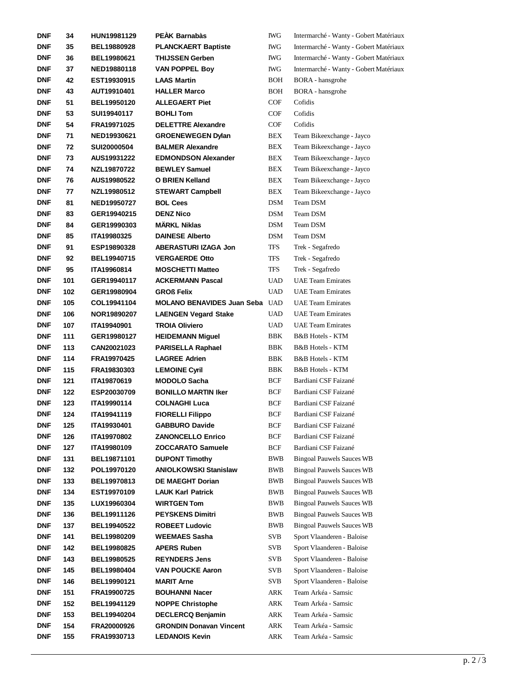| <b>DNF</b> | 34  | HUN19981129        | <b>PEAK Barnabàs</b>                  | <b>IWG</b> | Intermarché - Wanty - Gobert Matériaux |
|------------|-----|--------------------|---------------------------------------|------------|----------------------------------------|
| <b>DNF</b> | 35  | <b>BEL19880928</b> | <b>PLANCKAERT Baptiste</b>            | IWG        | Intermarché - Wanty - Gobert Matériaux |
| DNF        | 36  | <b>BEL19980621</b> | <b>THIJSSEN Gerben</b>                | IWG        | Intermarché - Wanty - Gobert Matériaux |
| <b>DNF</b> | 37  | NED19880118        | <b>VAN POPPEL Boy</b>                 | IWG        | Intermarché - Wanty - Gobert Matériaux |
| <b>DNF</b> | 42  | EST19930915        | <b>LAAS Martin</b>                    | BOH        | <b>BORA</b> - hansgrohe                |
| <b>DNF</b> | 43  | AUT19910401        | <b>HALLER Marco</b>                   | BOH        | <b>BORA</b> - hansgrohe                |
| <b>DNF</b> | 51  | BEL19950120        | <b>ALLEGAERT Piet</b>                 | COF        | Cofidis                                |
| <b>DNF</b> | 53  | SUI19940117        | <b>BOHLI Tom</b>                      | COF        | Cofidis                                |
| DNF        | 54  | FRA19971025        | <b>DELETTRE Alexandre</b>             | COF        | Cofidis                                |
| DNF        | 71  | NED19930621        | <b>GROENEWEGEN Dylan</b>              | BEX        | Team Bikeexchange - Jayco              |
| <b>DNF</b> | 72  | SUI20000504        | <b>BALMER Alexandre</b>               | BEX        | Team Bikeexchange - Jayco              |
| <b>DNF</b> | 73  | AUS19931222        | <b>EDMONDSON Alexander</b>            | BEX        | Team Bikeexchange - Jayco              |
| <b>DNF</b> | 74  | NZL19870722        | <b>BEWLEY Samuel</b>                  | BEX        | Team Bikeexchange - Jayco              |
| <b>DNF</b> | 76  | AUS19980522        | <b>O BRIEN Kelland</b>                | BEX        | Team Bikeexchange - Jayco              |
| <b>DNF</b> | 77  | NZL19980512        | <b>STEWART Campbell</b>               | BEX        | Team Bikeexchange - Jayco              |
| <b>DNF</b> | 81  | NED19950727        | <b>BOL Cees</b>                       | <b>DSM</b> | Team DSM                               |
| <b>DNF</b> | 83  | GER19940215        | <b>DENZ Nico</b>                      | <b>DSM</b> | Team DSM                               |
| <b>DNF</b> | 84  | GER19990303        | <b>MÄRKL Niklas</b>                   | <b>DSM</b> | Team DSM                               |
| <b>DNF</b> | 85  | ITA19980325        | <b>DAINESE Alberto</b>                | DSM        | Team DSM                               |
| <b>DNF</b> | 91  | ESP19890328        | <b>ABERASTURI IZAGA Jon</b>           | TFS        | Trek - Segafredo                       |
| DNF        | 92  | BEL19940715        | <b>VERGAERDE Otto</b>                 | TFS        | Trek - Segafredo                       |
|            |     |                    |                                       |            |                                        |
| DNF        | 95  | ITA19960814        | <b>MOSCHETTI Matteo</b>               | TFS        | Trek - Segafredo                       |
| <b>DNF</b> | 101 | GER19940117        | <b>ACKERMANN Pascal</b>               | <b>UAD</b> | <b>UAE Team Emirates</b>               |
| <b>DNF</b> | 102 | GER19980904        | <b>GROß Felix</b>                     | <b>UAD</b> | <b>UAE Team Emirates</b>               |
| <b>DNF</b> | 105 | COL19941104        | <b>MOLANO BENAVIDES Juan Seba UAD</b> |            | <b>UAE Team Emirates</b>               |
| <b>DNF</b> | 106 | NOR19890207        | <b>LAENGEN Vegard Stake</b>           | <b>UAD</b> | <b>UAE Team Emirates</b>               |
| <b>DNF</b> | 107 | ITA19940901        | <b>TROIA Oliviero</b>                 | <b>UAD</b> | <b>UAE Team Emirates</b>               |
| <b>DNF</b> | 111 | GER19980127        | <b>HEIDEMANN Miguel</b>               | BBK        | <b>B&amp;B</b> Hotels - KTM            |
| <b>DNF</b> | 113 | CAN20021023        | <b>PARISELLA Raphael</b>              | BBK        | B&B Hotels - KTM                       |
| <b>DNF</b> | 114 | FRA19970425        | <b>LAGREE Adrien</b>                  | BBK        | <b>B&amp;B</b> Hotels - KTM            |
| <b>DNF</b> | 115 | FRA19830303        | <b>LEMOINE Cyril</b>                  | BBK        | <b>B&amp;B</b> Hotels - KTM            |
| <b>DNF</b> | 121 | ITA19870619        | <b>MODOLO Sacha</b>                   | BCF        | Bardiani CSF Faizané                   |
| <b>DNF</b> | 122 | ESP20030709        | <b>BONILLO MARTIN Iker</b>            | BCF        | Bardiani CSF Faizané                   |
| <b>DNF</b> | 123 | ITA19990114        | <b>COLNAGHI Luca</b>                  | BCF        | Bardiani CSF Faizané                   |
| <b>DNF</b> | 124 | ITA19941119        | <b>FIORELLI Filippo</b>               | <b>BCF</b> | Bardiani CSF Faizané                   |
| DNF        | 125 | ITA19930401        | <b>GABBURO Davide</b>                 | <b>BCF</b> | Bardiani CSF Faizané                   |
| <b>DNF</b> | 126 | ITA19970802        | <b>ZANONCELLO Enrico</b>              | BCF        | Bardiani CSF Faizané                   |
| <b>DNF</b> | 127 | ITA19980109        | <b>ZOCCARATO Samuele</b>              | BCF        | Bardiani CSF Faizané                   |
| DNF        | 131 | BEL19871101        | <b>DUPONT Timothy</b>                 | BWB        | <b>Bingoal Pauwels Sauces WB</b>       |
| <b>DNF</b> | 132 | POL19970120        | <b>ANIOLKOWSKI Stanislaw</b>          | BWB        | <b>Bingoal Pauwels Sauces WB</b>       |
| <b>DNF</b> | 133 | BEL19970813        | <b>DE MAEGHT Dorian</b>               | BWB        | <b>Bingoal Pauwels Sauces WB</b>       |
| <b>DNF</b> | 134 | EST19970109        | <b>LAUK Karl Patrick</b>              | BWB        | <b>Bingoal Pauwels Sauces WB</b>       |
| <b>DNF</b> | 135 | LUX19960304        | <b>WIRTGEN Tom</b>                    | BWB        | <b>Bingoal Pauwels Sauces WB</b>       |
| <b>DNF</b> | 136 | <b>BEL19911126</b> | <b>PEYSKENS Dimitri</b>               | BWB        | <b>Bingoal Pauwels Sauces WB</b>       |
| <b>DNF</b> | 137 | <b>BEL19940522</b> | <b>ROBEET Ludovic</b>                 | BWB        | <b>Bingoal Pauwels Sauces WB</b>       |
| <b>DNF</b> | 141 | <b>BEL19980209</b> | <b>WEEMAES Sasha</b>                  | SVB        | Sport Vlaanderen - Baloise             |
| <b>DNF</b> | 142 | <b>BEL19980825</b> | <b>APERS Ruben</b>                    | SVB        | Sport Vlaanderen - Baloise             |
| <b>DNF</b> | 143 | <b>BEL19980525</b> | <b>REYNDERS Jens</b>                  | <b>SVB</b> | Sport Vlaanderen - Baloise             |
| <b>DNF</b> | 145 | <b>BEL19980404</b> | <b>VAN POUCKE Aaron</b>               | SVB        | Sport Vlaanderen - Baloise             |
| <b>DNF</b> | 146 | BEL19990121        | <b>MARIT Arne</b>                     | SVB        | Sport Vlaanderen - Baloise             |
| <b>DNF</b> | 151 | FRA19900725        | <b>BOUHANNI Nacer</b>                 | ARK        | Team Arkéa - Samsic                    |
| <b>DNF</b> | 152 | <b>BEL19941129</b> | <b>NOPPE Christophe</b>               | ARK        | Team Arkéa - Samsic                    |
| <b>DNF</b> | 153 | <b>BEL19940204</b> | <b>DECLERCQ Benjamin</b>              | ARK        | Team Arkéa - Samsic                    |
| <b>DNF</b> | 154 | FRA20000926        | <b>GRONDIN Donavan Vincent</b>        | ARK        | Team Arkéa - Samsic                    |
| <b>DNF</b> | 155 | FRA19930713        | <b>LEDANOIS Kevin</b>                 | ARK        | Team Arkéa - Samsic                    |